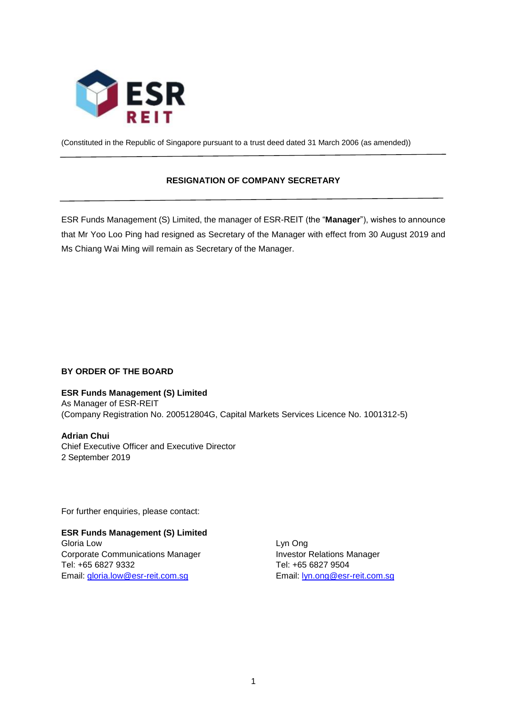

(Constituted in the Republic of Singapore pursuant to a trust deed dated 31 March 2006 (as amended))

# **RESIGNATION OF COMPANY SECRETARY**

ESR Funds Management (S) Limited, the manager of ESR-REIT (the "**Manager**"), wishes to announce that Mr Yoo Loo Ping had resigned as Secretary of the Manager with effect from 30 August 2019 and Ms Chiang Wai Ming will remain as Secretary of the Manager.

# **BY ORDER OF THE BOARD**

## **ESR Funds Management (S) Limited**

As Manager of ESR-REIT (Company Registration No. 200512804G, Capital Markets Services Licence No. 1001312-5)

**Adrian Chui**  Chief Executive Officer and Executive Director 2 September 2019

For further enquiries, please contact:

## **ESR Funds Management (S) Limited** Gloria Low Lyn Ong

Corporate Communications Manager **Investor Relations Manager** Tel: +65 6827 9332 Tel: +65 6827 9504 Email: [gloria.low@esr-reit.com.sg](mailto:gloria.low@esr-reit.com.sg) Email: [lyn.ong@esr-reit.com.sg](mailto:lyn.ong@esr-reit.com.sg)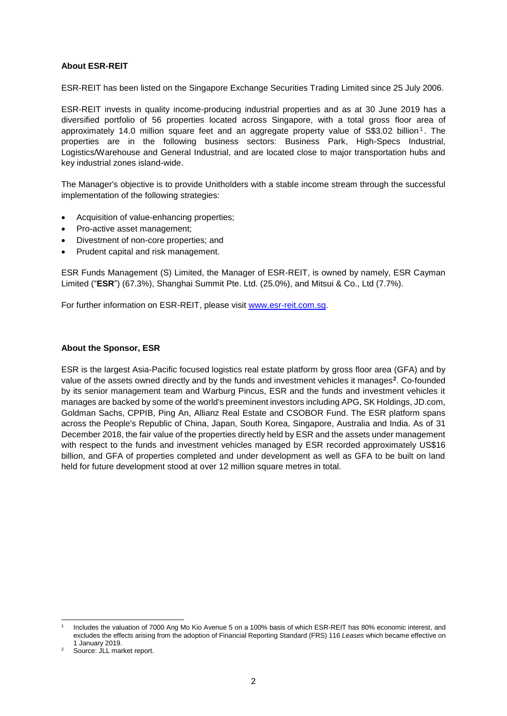### **About ESR-REIT**

ESR-REIT has been listed on the Singapore Exchange Securities Trading Limited since 25 July 2006.

ESR-REIT invests in quality income-producing industrial properties and as at 30 June 2019 has a diversified portfolio of 56 properties located across Singapore, with a total gross floor area of approximately 14.0 million square feet and an aggregate property value of S\$3.02 billion<sup>1</sup>. The properties are in the following business sectors: Business Park, High-Specs Industrial, Logistics/Warehouse and General Industrial, and are located close to major transportation hubs and key industrial zones island-wide.

The Manager's objective is to provide Unitholders with a stable income stream through the successful implementation of the following strategies:

- Acquisition of value-enhancing properties;
- Pro-active asset management:
- Divestment of non-core properties; and
- Prudent capital and risk management.

ESR Funds Management (S) Limited, the Manager of ESR-REIT, is owned by namely, ESR Cayman Limited ("**ESR**") (67.3%), Shanghai Summit Pte. Ltd. (25.0%), and Mitsui & Co., Ltd (7.7%).

For further information on ESR-REIT, please visit [www.esr-reit.com.sg.](http://www.esr-reit.com.sg/)

#### **About the Sponsor, ESR**

ESR is the largest Asia-Pacific focused logistics real estate platform by gross floor area (GFA) and by value of the assets owned directly and by the funds and investment vehicles it manages**<sup>2</sup>** . Co-founded by its senior management team and Warburg Pincus, ESR and the funds and investment vehicles it manages are backed by some of the world's preeminent investors including APG, SK Holdings, JD.com, Goldman Sachs, CPPIB, Ping An, Allianz Real Estate and CSOBOR Fund. The ESR platform spans across the People's Republic of China, Japan, South Korea, Singapore, Australia and India. As of 31 December 2018, the fair value of the properties directly held by ESR and the assets under management with respect to the funds and investment vehicles managed by ESR recorded approximately US\$16 billion, and GFA of properties completed and under development as well as GFA to be built on land held for future development stood at over 12 million square metres in total.

<sup>1</sup> 1 Includes the valuation of 7000 Ang Mo Kio Avenue 5 on a 100% basis of which ESR-REIT has 80% economic interest, and excludes the effects arising from the adoption of Financial Reporting Standard (FRS) 116 *Leases* which became effective on 1 January 2019.

Source: JLL market report.